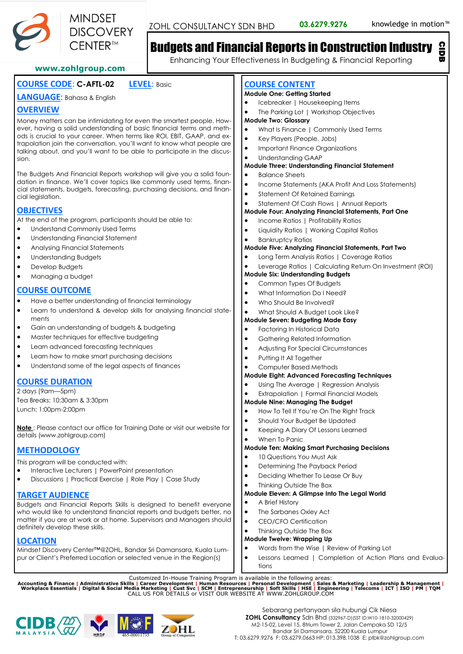



#### Budgets and Financial Reports in Construction Industry  $\frac{\Omega}{\Theta}$

Enhancing Your Effectiveness In Budgeting & Financial Reporting

## **www.zohlgroup.com**

# **COURSE CODE**: **C-AFTL-02 LEVEL**: Basic

# **COURSE CONTENT**

**LANGUAGE**: Bahasa & English

# **OVERVIEW**

Money matters can be intimidating for even the smartest people. However, having a solid understanding of basic financial terms and methods is crucial to your career. When terms like ROI, EBIT, GAAP, and extrapolation join the conversation, you'll want to know what people are talking about, and you'll want to be able to participate in the discussion.

The Budgets And Financial Reports workshop will give you a solid foundation in finance. We'll cover topics like commonly used terms, financial statements, budgets, forecasting, purchasing decisions, and financial legislation.

# **OBJECTIVES**

At the end of the program, participants should be able to:

- Understand Commonly Used Terms
- Understanding Financial Statement
- Analysing Financial Statements
- Understanding Budgets
- Develop Budgets
- Managing a budget

# **COURSE OUTCOME**

- Have a better understanding of financial terminology
- Learn to understand & develop skills for analysing financial statements
- Gain an understanding of budgets & budgeting
- Master techniques for effective budgeting
- Learn advanced forecasting techniques
- Learn how to make smart purchasing decisions
- Understand some of the legal aspects of finances

## **COURSE DURATION**

2 days (9am—5pm) Tea Breaks: 10:30am & 3:30pm Lunch: 1:00pm-2:00pm

**Note** : Please contact our office for Training Date or visit our website for details (www.zohlgroup.com)

# **METHODOLOGY**

This program will be conducted with:

- Interactive Lecturers | PowerPoint presentation
- Discussions | Practical Exercise | Role Play | Case Study

## **TARGET AUDIENCE**

Budgets and Financial Reports Skills is designed to benefit everyone who would like to understand financial reports and budgets better, no matter if you are at work or at home. Supervisors and Managers should definitely develop these skills.

# **LOCATION**

Mindset Discovery Center™@ZOHL, Bandar Sri Damansara, Kuala Lumpur or Client's Preferred Location or selected venue in the Region(s)

- 
- **Module One: Getting Started**
- Icebreaker | Housekeeping Items

# • The Parking Lot | Workshop Objectives

# **Module Two: Glossary**

- What Is Finance | Commonly Used Terms
- Key Players (People, Jobs)
- Important Finance Organizations
- Understanding GAAP

## **Module Three: Understanding Financial Statement**

- Balance Sheets
- Income Statements (AKA Profit And Loss Statements)
- Statement Of Retained Earnings
- Statement Of Cash Flows | Annual Reports

#### **Module Four: Analyzing Financial Statements, Part One**

- Income Ratios | Profitability Ratios
- Liquidity Ratios | Working Capital Ratios
- Bankruptcy Ratios

## **Module Five: Analyzing Financial Statements, Part Two**

- Long Term Analysis Ratios | Coverage Ratios
- Leverage Ratios | Calculating Return On Investment (ROI)

## **Module Six: Understanding Budgets**

- Common Types Of Budgets
- What Information Do I Need?
- Who Should Be Involved?

#### • What Should A Budget Look Like?

#### **Module Seven: Budgeting Made Easy**

- Factoring In Historical Data
- Gathering Related Information
- Adjusting For Special Circumstances
- Putting It All Together
- Computer Based Methods

#### **Module Eight: Advanced Forecasting Techniques**

- Using The Average | Regression Analysis
- Extrapolation | Formal Financial Models

## **Module Nine: Managing The Budget**

- How To Tell If You're On The Right Track
- Should Your Budget Be Updated
- Keeping A Diary Of Lessons Learned
- When To Panic

#### **Module Ten: Making Smart Purchasing Decisions**

- 10 Questions You Must Ask
- Determining The Payback Period
- Deciding Whether To Lease Or Buy
- Thinking Outside The Box

#### **Module Eleven: A Glimpse Into The Legal World**

- A Brief History
- The Sarbanes Oxley Act
- CEO/CFO Certification

#### • Thinking Outside The Box

#### **Module Twelve: Wrapping Up**

- Words from the Wise | Review of Parking Lot
- Lessons Learned | Completion of Action Plans and Evaluations

Customized In-House Training Program is available in the following areas:<br>Accounting & Finance | Administrative Skills | Career Development | Human Resources | Personal Development | Sales & Marketing | Leadership & Manage